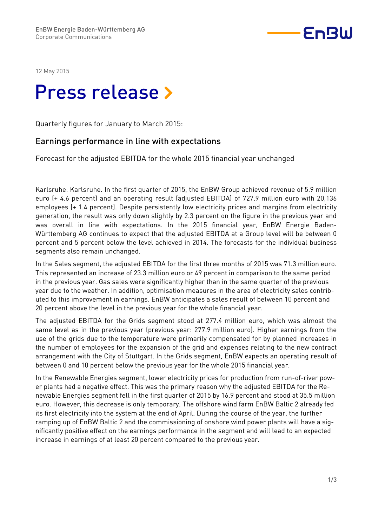

12 May 2015

# Press release »

Quarterly figures for January to March 2015:

### Earnings performance in line with expectations

Forecast for the adjusted EBITDA for the whole 2015 financial year unchanged

Karlsruhe. Karlsruhe. In the first quarter of 2015, the EnBW Group achieved revenue of 5.9 million euro (+ 4.6 percent) and an operating result (adjusted EBITDA) of 727.9 million euro with 20,136 employees (+ 1.4 percent). Despite persistently low electricity prices and margins from electricity generation, the result was only down slightly by 2.3 percent on the figure in the previous year and was overall in line with expectations. In the 2015 financial year, EnBW Energie Baden-Württemberg AG continues to expect that the adjusted EBITDA at a Group level will be between 0 percent and 5 percent below the level achieved in 2014. The forecasts for the individual business segments also remain unchanged.

In the Sales segment, the adjusted EBITDA for the first three months of 2015 was 71.3 million euro. This represented an increase of 23.3 million euro or 49 percent in comparison to the same period in the previous year. Gas sales were significantly higher than in the same quarter of the previous year due to the weather. In addition, optimisation measures in the area of electricity sales contributed to this improvement in earnings. EnBW anticipates a sales result of between 10 percent and 20 percent above the level in the previous year for the whole financial year.

The adjusted EBITDA for the Grids segment stood at 277.4 million euro, which was almost the same level as in the previous year (previous year: 277.9 million euro). Higher earnings from the use of the grids due to the temperature were primarily compensated for by planned increases in the number of employees for the expansion of the grid and expenses relating to the new contract arrangement with the City of Stuttgart. In the Grids segment, EnBW expects an operating result of between 0 and 10 percent below the previous year for the whole 2015 financial year.

In the Renewable Energies segment, lower electricity prices for production from run-of-river power plants had a negative effect. This was the primary reason why the adjusted EBITDA for the Renewable Energies segment fell in the first quarter of 2015 by 16.9 percent and stood at 35.5 million euro. However, this decrease is only temporary. The offshore wind farm EnBW Baltic 2 already fed its first electricity into the system at the end of April. During the course of the year, the further ramping up of EnBW Baltic 2 and the commissioning of onshore wind power plants will have a significantly positive effect on the earnings performance in the segment and will lead to an expected increase in earnings of at least 20 percent compared to the previous year.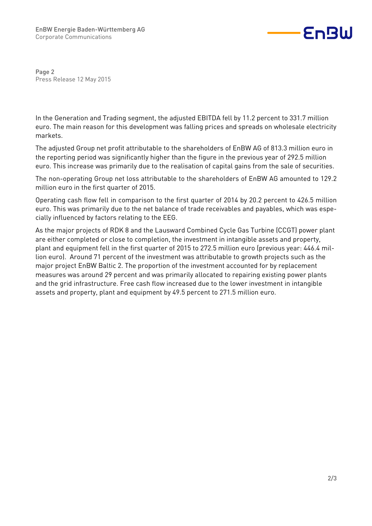

Page 2 Press Release 12 May 2015

In the Generation and Trading segment, the adjusted EBITDA fell by 11.2 percent to 331.7 million euro. The main reason for this development was falling prices and spreads on wholesale electricity markets.

The adjusted Group net profit attributable to the shareholders of EnBW AG of 813.3 million euro in the reporting period was significantly higher than the figure in the previous year of 292.5 million euro. This increase was primarily due to the realisation of capital gains from the sale of securities.

The non-operating Group net loss attributable to the shareholders of EnBW AG amounted to 129.2 million euro in the first quarter of 2015.

Operating cash flow fell in comparison to the first quarter of 2014 by 20.2 percent to 426.5 million euro. This was primarily due to the net balance of trade receivables and payables, which was especially influenced by factors relating to the EEG.

As the major projects of RDK 8 and the Lausward Combined Cycle Gas Turbine (CCGT) power plant are either completed or close to completion, the investment in intangible assets and property, plant and equipment fell in the first quarter of 2015 to 272.5 million euro (previous year: 446.4 million euro). Around 71 percent of the investment was attributable to growth projects such as the major project EnBW Baltic 2. The proportion of the investment accounted for by replacement measures was around 29 percent and was primarily allocated to repairing existing power plants and the grid infrastructure. Free cash flow increased due to the lower investment in intangible assets and property, plant and equipment by 49.5 percent to 271.5 million euro.